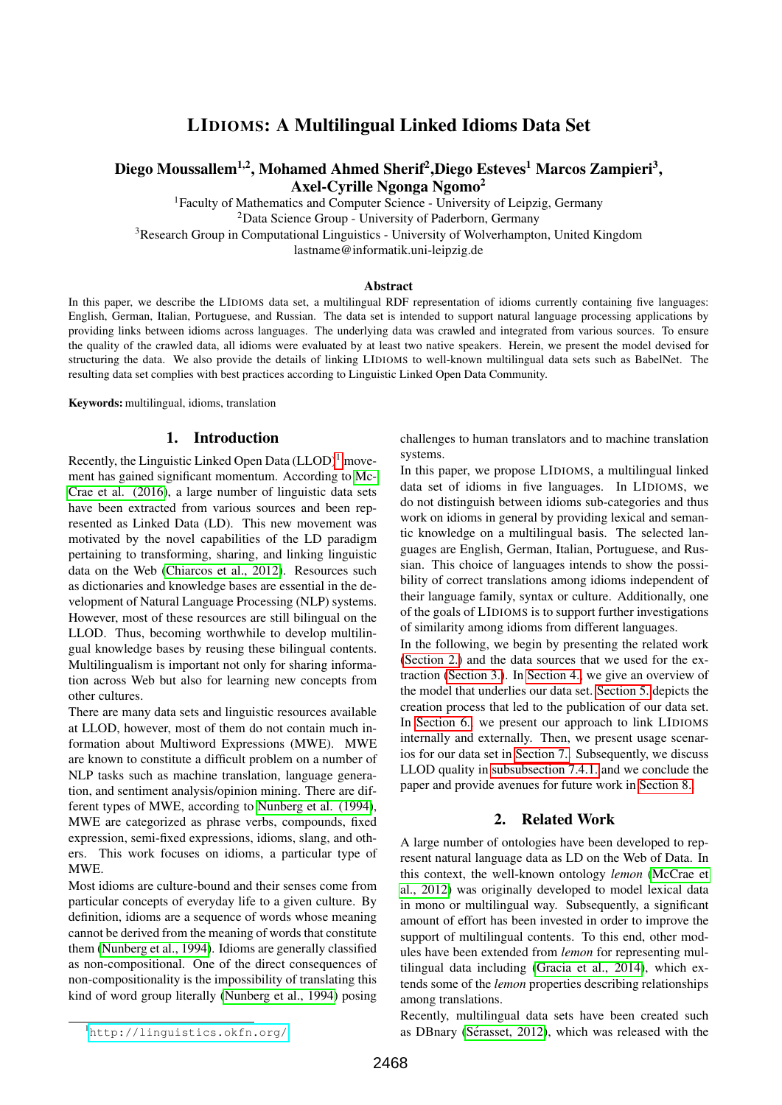# LIDIOMS: A Multilingual Linked Idioms Data Set

# <span id="page-0-2"></span>Diego Moussallem<sup>1,2</sup>, Mohamed Ahmed Sherif<sup>2</sup>,Diego Esteves<sup>1</sup> Marcos Zampieri<sup>3</sup>, Axel-Cyrille Ngonga Ngomo<sup>2</sup>

<sup>1</sup>Faculty of Mathematics and Computer Science - University of Leipzig, Germany

<sup>2</sup>Data Science Group - University of Paderborn, Germany

<sup>3</sup>Research Group in Computational Linguistics - University of Wolverhampton, United Kingdom

lastname@informatik.uni-leipzig.de

#### Abstract

In this paper, we describe the LIDIOMS data set, a multilingual RDF representation of idioms currently containing five languages: English, German, Italian, Portuguese, and Russian. The data set is intended to support natural language processing applications by providing links between idioms across languages. The underlying data was crawled and integrated from various sources. To ensure the quality of the crawled data, all idioms were evaluated by at least two native speakers. Herein, we present the model devised for structuring the data. We also provide the details of linking LIDIOMS to well-known multilingual data sets such as BabelNet. The resulting data set complies with best practices according to Linguistic Linked Open Data Community.

Keywords: multilingual, idioms, translation

#### 1. Introduction

Recently, the Linguistic Linked Open Data  $(LLOD)^1$  $(LLOD)^1$  movement has gained significant momentum. According to [Mc-](#page-6-0)[Crae et al. \(2016\)](#page-6-0), a large number of linguistic data sets have been extracted from various sources and been represented as Linked Data (LD). This new movement was motivated by the novel capabilities of the LD paradigm pertaining to transforming, sharing, and linking linguistic data on the Web [\(Chiarcos et al., 2012\)](#page-6-1). Resources such as dictionaries and knowledge bases are essential in the development of Natural Language Processing (NLP) systems. However, most of these resources are still bilingual on the LLOD. Thus, becoming worthwhile to develop multilingual knowledge bases by reusing these bilingual contents. Multilingualism is important not only for sharing information across Web but also for learning new concepts from other cultures.

There are many data sets and linguistic resources available at LLOD, however, most of them do not contain much information about Multiword Expressions (MWE). MWE are known to constitute a difficult problem on a number of NLP tasks such as machine translation, language generation, and sentiment analysis/opinion mining. There are different types of MWE, according to [Nunberg et al. \(1994\)](#page-6-2), MWE are categorized as phrase verbs, compounds, fixed expression, semi-fixed expressions, idioms, slang, and others. This work focuses on idioms, a particular type of MWE.

Most idioms are culture-bound and their senses come from particular concepts of everyday life to a given culture. By definition, idioms are a sequence of words whose meaning cannot be derived from the meaning of words that constitute them [\(Nunberg et al., 1994\)](#page-6-2). Idioms are generally classified as non-compositional. One of the direct consequences of non-compositionality is the impossibility of translating this kind of word group literally [\(Nunberg et al., 1994\)](#page-6-2) posing challenges to human translators and to machine translation systems.

In this paper, we propose LIDIOMS, a multilingual linked data set of idioms in five languages. In LIDIOMS, we do not distinguish between idioms sub-categories and thus work on idioms in general by providing lexical and semantic knowledge on a multilingual basis. The selected languages are English, German, Italian, Portuguese, and Russian. This choice of languages intends to show the possibility of correct translations among idioms independent of their language family, syntax or culture. Additionally, one of the goals of LIDIOMS is to support further investigations of similarity among idioms from different languages.

In the following, we begin by presenting the related work [\(Section 2.\)](#page-0-1) and the data sources that we used for the extraction [\(Section 3.\)](#page-1-0). In [Section 4.,](#page-2-0) we give an overview of the model that underlies our data set. [Section 5.](#page-2-1) depicts the creation process that led to the publication of our data set. In [Section 6.,](#page-2-2) we present our approach to link LIDIOMS internally and externally. Then, we present usage scenarios for our data set in [Section 7..](#page-4-0) Subsequently, we discuss LLOD quality in [subsubsection 7.4.1.](#page-5-0) and we conclude the paper and provide avenues for future work in [Section 8..](#page-5-1)

### 2. Related Work

<span id="page-0-1"></span>A large number of ontologies have been developed to represent natural language data as LD on the Web of Data. In this context, the well-known ontology *lemon* [\(McCrae et](#page-6-3) [al., 2012\)](#page-6-3) was originally developed to model lexical data in mono or multilingual way. Subsequently, a significant amount of effort has been invested in order to improve the support of multilingual contents. To this end, other modules have been extended from *lemon* for representing multilingual data including [\(Gracia et al., 2014\)](#page-6-4), which extends some of the *lemon* properties describing relationships among translations.

Recently, multilingual data sets have been created such as DBnary (Sérasset, 2012), which was released with the

<span id="page-0-0"></span><sup>1</sup><http://linguistics.okfn.org/>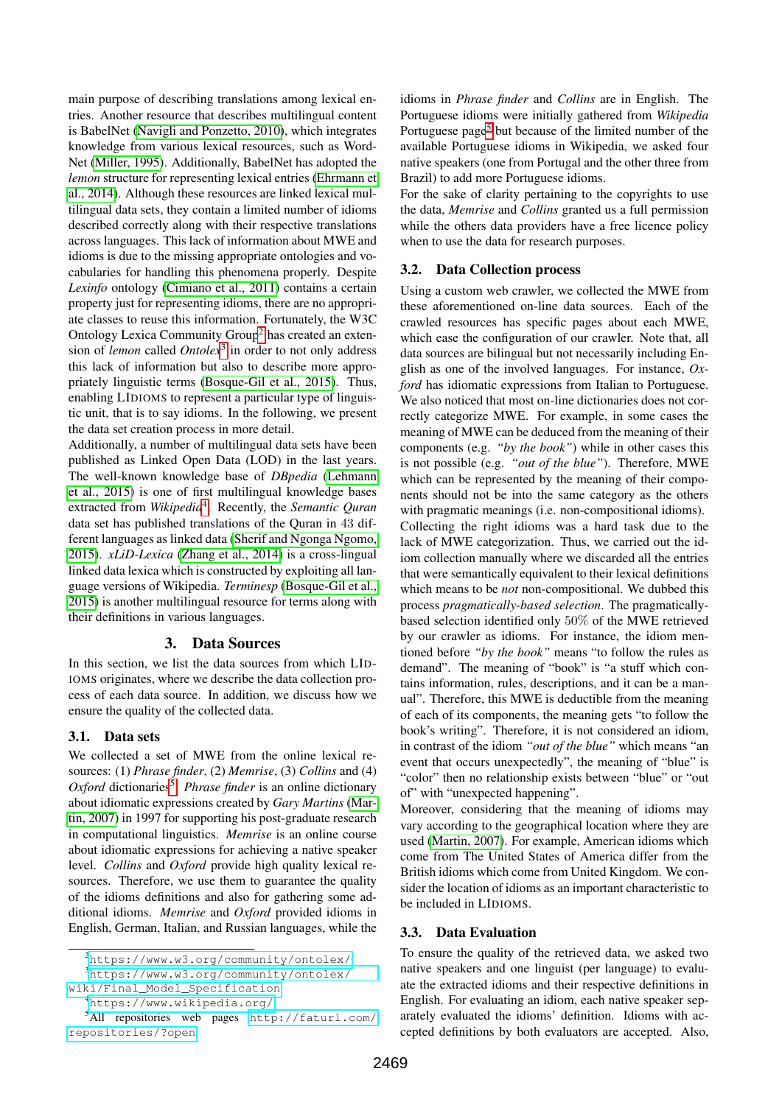main purpose of describing translations among lexical entries. Another resource that describes multilingual content is BabelNet [\(Navigli and Ponzetto, 2010\)](#page-6-6), which integrates knowledge from various lexical resources, such as Word-Net [\(Miller, 1995\)](#page-6-7). Additionally, BabelNet has adopted the *lemon* structure for representing lexical entries [\(Ehrmann et](#page-6-8) [al., 2014\)](#page-6-8). Although these resources are linked lexical multilingual data sets, they contain a limited number of idioms described correctly along with their respective translations across languages. This lack of information about MWE and idioms is due to the missing appropriate ontologies and vocabularies for handling this phenomena properly. Despite *Lexinfo* ontology [\(Cimiano et al., 2011\)](#page-6-9) contains a certain property just for representing idioms, there are no appropriate classes to reuse this information. Fortunately, the W3C Ontology Lexica Community Group<sup>[2](#page-1-1)</sup> has created an extension of *lemon* called *Ontolex*[3](#page-1-2) in order to not only address this lack of information but also to describe more appropriately linguistic terms [\(Bosque-Gil et al., 2015\)](#page-6-10). Thus, enabling LIDIOMS to represent a particular type of linguistic unit, that is to say idioms. In the following, we present the data set creation process in more detail.

Additionally, a number of multilingual data sets have been published as Linked Open Data (LOD) in the last years. The well-known knowledge base of *DBpedia* [\(Lehmann](#page-6-11) [et al., 2015\)](#page-6-11) is one of first multilingual knowledge bases extracted from *Wikipedia*[4](#page-1-3) . Recently, the *Semantic Quran* data set has published translations of the Quran in 43 different languages as linked data [\(Sherif and Ngonga Ngomo,](#page-6-12) [2015\)](#page-6-12). *xLiD-Lexica* [\(Zhang et al., 2014\)](#page-6-13) is a cross-lingual linked data lexica which is constructed by exploiting all language versions of Wikipedia. *Terminesp* [\(Bosque-Gil et al.,](#page-6-10) [2015\)](#page-6-10) is another multilingual resource for terms along with their definitions in various languages.

# 3. Data Sources

<span id="page-1-0"></span>In this section, we list the data sources from which LID-IOMS originates, where we describe the data collection process of each data source. In addition, we discuss how we ensure the quality of the collected data.

### 3.1. Data sets

We collected a set of MWE from the online lexical resources: (1) *Phrase finder*, (2) *Memrise*, (3) *Collins* and (4) Oxford dictionaries<sup>[5](#page-1-4)</sup>. Phrase finder is an online dictionary about idiomatic expressions created by *Gary Martins* [\(Mar](#page-6-14)[tin, 2007\)](#page-6-14) in 1997 for supporting his post-graduate research in computational linguistics. *Memrise* is an online course about idiomatic expressions for achieving a native speaker level. *Collins* and *Oxford* provide high quality lexical resources. Therefore, we use them to guarantee the quality of the idioms definitions and also for gathering some additional idioms. *Memrise* and *Oxford* provided idioms in English, German, Italian, and Russian languages, while the

<span id="page-1-4"></span><span id="page-1-3"></span><sup>4</sup><https://www.wikipedia.org/>

idioms in *Phrase finder* and *Collins* are in English. The Portuguese idioms were initially gathered from *Wikipedia* Portuguese page<sup>[5](#page-0-2)</sup> but because of the limited number of the available Portuguese idioms in Wikipedia, we asked four native speakers (one from Portugal and the other three from Brazil) to add more Portuguese idioms.

For the sake of clarity pertaining to the copyrights to use the data, *Memrise* and *Collins* granted us a full permission while the others data providers have a free licence policy when to use the data for research purposes.

### <span id="page-1-5"></span>3.2. Data Collection process

Using a custom web crawler, we collected the MWE from these aforementioned on-line data sources. Each of the crawled resources has specific pages about each MWE, which ease the configuration of our crawler. Note that, all data sources are bilingual but not necessarily including English as one of the involved languages. For instance, *Oxford* has idiomatic expressions from Italian to Portuguese. We also noticed that most on-line dictionaries does not correctly categorize MWE. For example, in some cases the meaning of MWE can be deduced from the meaning of their components (e.g. *"by the book"*) while in other cases this is not possible (e.g. *"out of the blue"*). Therefore, MWE which can be represented by the meaning of their components should not be into the same category as the others with pragmatic meanings (i.e. non-compositional idioms). Collecting the right idioms was a hard task due to the lack of MWE categorization. Thus, we carried out the idiom collection manually where we discarded all the entries that were semantically equivalent to their lexical definitions which means to be *not* non-compositional. We dubbed this process *pragmatically-based selection*. The pragmaticallybased selection identified only 50% of the MWE retrieved by our crawler as idioms. For instance, the idiom mentioned before *"by the book"* means "to follow the rules as demand". The meaning of "book" is "a stuff which contains information, rules, descriptions, and it can be a manual". Therefore, this MWE is deductible from the meaning of each of its components, the meaning gets "to follow the book's writing". Therefore, it is not considered an idiom, in contrast of the idiom *"out of the blue"* which means "an event that occurs unexpectedly", the meaning of "blue" is "color" then no relationship exists between "blue" or "out of" with "unexpected happening".

Moreover, considering that the meaning of idioms may vary according to the geographical location where they are used [\(Martin, 2007\)](#page-6-14). For example, American idioms which come from The United States of America differ from the British idioms which come from United Kingdom. We consider the location of idioms as an important characteristic to be included in LIDIOMS.

# 3.3. Data Evaluation

To ensure the quality of the retrieved data, we asked two native speakers and one linguist (per language) to evaluate the extracted idioms and their respective definitions in English. For evaluating an idiom, each native speaker separately evaluated the idioms' definition. Idioms with accepted definitions by both evaluators are accepted. Also,

<span id="page-1-2"></span><span id="page-1-1"></span><sup>2</sup><https://www.w3.org/community/ontolex/>

<sup>3</sup>[https://www.w3.org/community/ontolex/](https://www.w3.org/community/ontolex/wiki/Final_Model_Specification) [wiki/Final\\_Model\\_Specification](https://www.w3.org/community/ontolex/wiki/Final_Model_Specification)

<sup>5</sup>All repositories web pages [http://faturl.com/](http://faturl.com/repositories/?open) [repositories/?open](http://faturl.com/repositories/?open)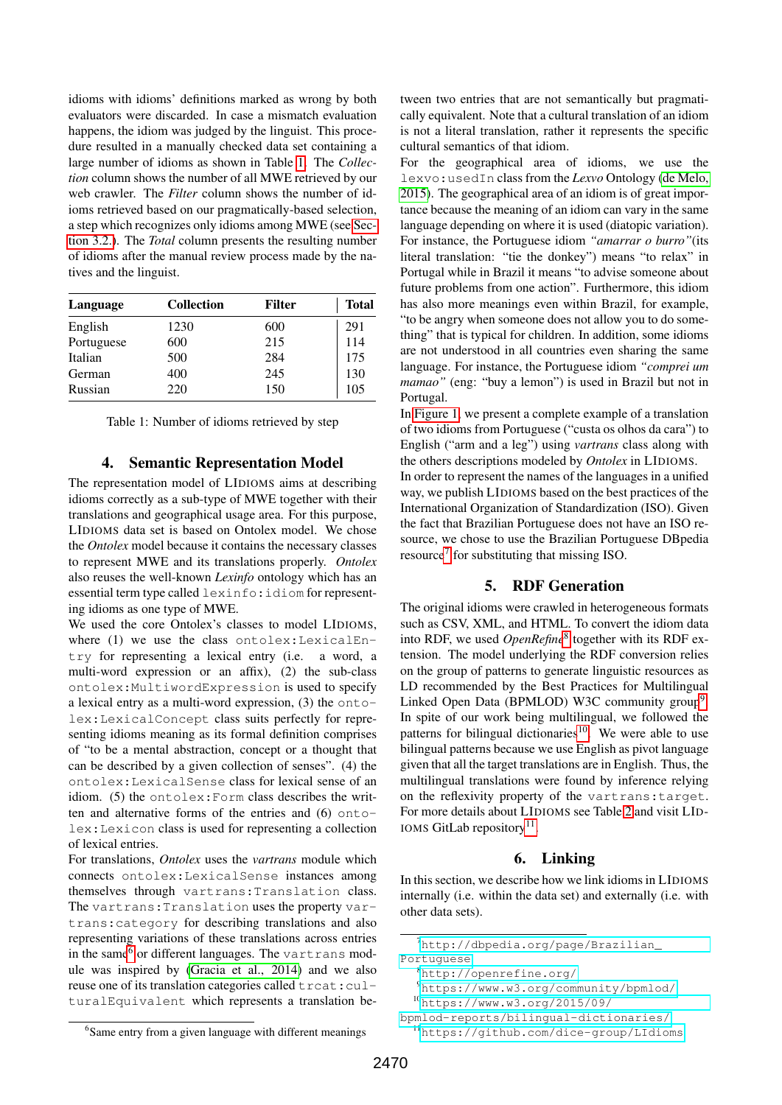idioms with idioms' definitions marked as wrong by both evaluators were discarded. In case a mismatch evaluation happens, the idiom was judged by the linguist. This procedure resulted in a manually checked data set containing a large number of idioms as shown in Table [1.](#page-2-3) The *Collection* column shows the number of all MWE retrieved by our web crawler. The *Filter* column shows the number of idioms retrieved based on our pragmatically-based selection, a step which recognizes only idioms among MWE (see [Sec](#page-1-5)[tion 3.2.\)](#page-1-5). The *Total* column presents the resulting number of idioms after the manual review process made by the natives and the linguist.

<span id="page-2-3"></span>

| Language   | <b>Collection</b> | Filter | <b>Total</b> |  |
|------------|-------------------|--------|--------------|--|
| English    | 1230              | 600    | 291          |  |
| Portuguese | 600               | 215    | 114          |  |
| Italian    | 500               | 284    | 175          |  |
| German     | 400               | 245    | 130          |  |
| Russian    | 220               | 150    | 105          |  |

Table 1: Number of idioms retrieved by step

#### 4. Semantic Representation Model

<span id="page-2-0"></span>The representation model of LIDIOMS aims at describing idioms correctly as a sub-type of MWE together with their translations and geographical usage area. For this purpose, LIDIOMS data set is based on Ontolex model. We chose the *Ontolex* model because it contains the necessary classes to represent MWE and its translations properly. *Ontolex* also reuses the well-known *Lexinfo* ontology which has an essential term type called lexinfo:idiom for representing idioms as one type of MWE.

We used the core Ontolex's classes to model LIDIOMS, where (1) we use the class ontolex: LexicalEntry for representing a lexical entry (i.e. a word, a multi-word expression or an affix), (2) the sub-class ontolex:MultiwordExpression is used to specify a lexical entry as a multi-word expression, (3) the ontolex:LexicalConcept class suits perfectly for representing idioms meaning as its formal definition comprises of "to be a mental abstraction, concept or a thought that can be described by a given collection of senses". (4) the ontolex:LexicalSense class for lexical sense of an idiom. (5) the ontolex:Form class describes the written and alternative forms of the entries and (6) ontolex:Lexicon class is used for representing a collection of lexical entries.

For translations, *Ontolex* uses the *vartrans* module which connects ontolex:LexicalSense instances among themselves through vartrans:Translation class. The vartrans:Translation uses the property vartrans:category for describing translations and also representing variations of these translations across entries in the same<sup>[6](#page-2-4)</sup> or different languages. The vartrans module was inspired by [\(Gracia et al., 2014\)](#page-6-4) and we also reuse one of its translation categories called  $\text{tract:}\text{curl}$ turalEquivalent which represents a translation between two entries that are not semantically but pragmatically equivalent. Note that a cultural translation of an idiom is not a literal translation, rather it represents the specific cultural semantics of that idiom.

For the geographical area of idioms, we use the lexvo:usedIn class from the *Lexvo* Ontology [\(de Melo,](#page-6-15) [2015\)](#page-6-15). The geographical area of an idiom is of great importance because the meaning of an idiom can vary in the same language depending on where it is used (diatopic variation). For instance, the Portuguese idiom *"amarrar o burro"*(its literal translation: "tie the donkey") means "to relax" in Portugal while in Brazil it means "to advise someone about future problems from one action". Furthermore, this idiom has also more meanings even within Brazil, for example, "to be angry when someone does not allow you to do something" that is typical for children. In addition, some idioms are not understood in all countries even sharing the same language. For instance, the Portuguese idiom *"comprei um mamao*" (eng: "buy a lemon") is used in Brazil but not in Portugal.

In [Figure 1,](#page-3-0) we present a complete example of a translation of two idioms from Portuguese ("custa os olhos da cara") to English ("arm and a leg") using *vartrans* class along with the others descriptions modeled by *Ontolex* in LIDIOMS. In order to represent the names of the languages in a unified way, we publish LIDIOMS based on the best practices of the International Organization of Standardization (ISO). Given

the fact that Brazilian Portuguese does not have an ISO resource, we chose to use the Brazilian Portuguese DBpedia resource<sup>[7](#page-2-5)</sup> for substituting that missing ISO.

### 5. RDF Generation

<span id="page-2-1"></span>The original idioms were crawled in heterogeneous formats such as CSV, XML, and HTML. To convert the idiom data into RDF, we used *OpenRefine*[8](#page-2-6) together with its RDF extension. The model underlying the RDF conversion relies on the group of patterns to generate linguistic resources as LD recommended by the Best Practices for Multilingual Linked Open Data (BPMLOD) W3C community group<sup>[9](#page-2-7)</sup>. In spite of our work being multilingual, we followed the patterns for bilingual dictionaries<sup>[10](#page-2-8)</sup>. We were able to use bilingual patterns because we use English as pivot language given that all the target translations are in English. Thus, the multilingual translations were found by inference relying on the reflexivity property of the vartrans:target. For more details about LIDIOMS see Table [2](#page-3-1) and visit LID-IOMS GitLab repository<sup>[11](#page-2-9)</sup>.

### 6. Linking

<span id="page-2-2"></span>In this section, we describe how we link idioms in LIDIOMS internally (i.e. within the data set) and externally (i.e. with other data sets).

<span id="page-2-5"></span><sup>7</sup>[http://dbpedia.org/page/Brazilian\\_](http://dbpedia.org/page/Brazilian_Portuguese) [Portuguese](http://dbpedia.org/page/Brazilian_Portuguese)

<span id="page-2-6"></span><sup>8</sup><http://openrefine.org/>

<span id="page-2-7"></span><sup>9</sup><https://www.w3.org/community/bpmlod/>

<span id="page-2-8"></span><sup>10</sup>[https://www.w3.org/2015/09/](https://www.w3.org/2015/09/bpmlod-reports/bilingual-dictionaries/)

<span id="page-2-9"></span>[bpmlod-reports/bilingual-dictionaries/](https://www.w3.org/2015/09/bpmlod-reports/bilingual-dictionaries/) <sup>11</sup><https://github.com/dice-group/LIdioms>

<span id="page-2-4"></span><sup>&</sup>lt;sup>6</sup>Same entry from a given language with different meanings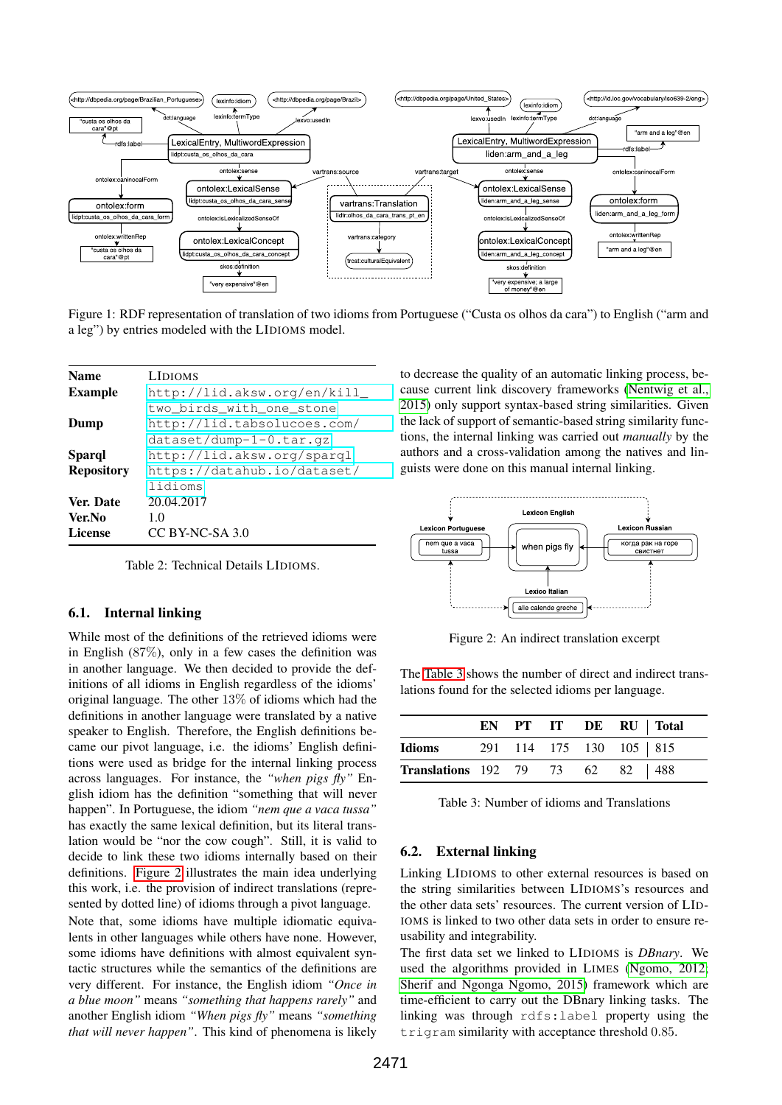<span id="page-3-0"></span>

Figure 1: RDF representation of translation of two idioms from Portuguese ("Custa os olhos da cara") to English ("arm and a leg") by entries modeled with the LIDIOMS model.

<span id="page-3-1"></span>

| <b>Name</b>       | <b>LIDIOMS</b>              |
|-------------------|-----------------------------|
| <b>Example</b>    | http://lid.aksw.org/en/kill |
|                   | two birds with one stone    |
| Dump              | http://lid.tabsolucoes.com/ |
|                   | $dataset/dump-1-0.tar.qz$   |
| Sparql            | http://lid.aksw.org/sparql  |
| <b>Repository</b> | https://datahub.io/dataset/ |
|                   | lidioms                     |
| Ver. Date         | 20.04.2017                  |
| Ver.No            | 1.0                         |
| <b>License</b>    | CC BY-NC-SA 3.0             |
|                   |                             |

Table 2: Technical Details LIDIOMS.

#### 6.1. Internal linking

While most of the definitions of the retrieved idioms were in English (87%), only in a few cases the definition was in another language. We then decided to provide the definitions of all idioms in English regardless of the idioms' original language. The other 13% of idioms which had the definitions in another language were translated by a native speaker to English. Therefore, the English definitions became our pivot language, i.e. the idioms' English definitions were used as bridge for the internal linking process across languages. For instance, the *"when pigs fly"* English idiom has the definition "something that will never happen". In Portuguese, the idiom *"nem que a vaca tussa"* has exactly the same lexical definition, but its literal translation would be "nor the cow cough". Still, it is valid to decide to link these two idioms internally based on their definitions. [Figure 2](#page-3-2) illustrates the main idea underlying this work, i.e. the provision of indirect translations (represented by dotted line) of idioms through a pivot language.

Note that, some idioms have multiple idiomatic equivalents in other languages while others have none. However, some idioms have definitions with almost equivalent syntactic structures while the semantics of the definitions are very different. For instance, the English idiom *"Once in a blue moon"* means *"something that happens rarely"* and another English idiom *"When pigs fly"* means *"something that will never happen"*. This kind of phenomena is likely

to decrease the quality of an automatic linking process, because current link discovery frameworks [\(Nentwig et al.,](#page-6-16) [2015\)](#page-6-16) only support syntax-based string similarities. Given the lack of support of semantic-based string similarity functions, the internal linking was carried out *manually* by the authors and a cross-validation among the natives and linguists were done on this manual internal linking.

<span id="page-3-2"></span>

Figure 2: An indirect translation excerpt

The [Table 3](#page-3-3) shows the number of direct and indirect translations found for the selected idioms per language.

<span id="page-3-3"></span>

|                                         |  |                           | EN PT IT DE RU Total |
|-----------------------------------------|--|---------------------------|----------------------|
| Idioms                                  |  | 291 114 175 130 105   815 |                      |
| <b>Translations</b> 192 79 73 62 82 488 |  |                           |                      |

Table 3: Number of idioms and Translations

### 6.2. External linking

Linking LIDIOMS to other external resources is based on the string similarities between LIDIOMS's resources and the other data sets' resources. The current version of LID-IOMS is linked to two other data sets in order to ensure reusability and integrability.

The first data set we linked to LIDIOMS is *DBnary*. We used the algorithms provided in LIMES [\(Ngomo, 2012;](#page-6-17) [Sherif and Ngonga Ngomo, 2015\)](#page-6-12) framework which are time-efficient to carry out the DBnary linking tasks. The linking was through rdfs:label property using the trigram similarity with acceptance threshold 0.85.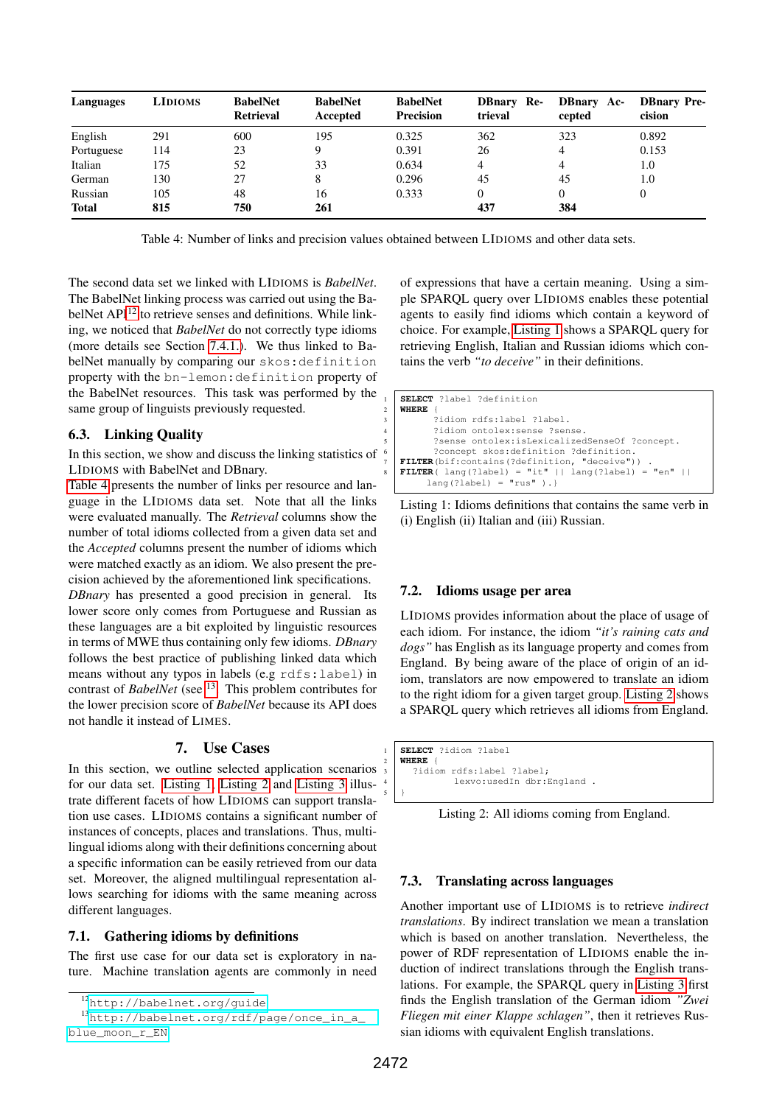<span id="page-4-2"></span>

| Languages    | <b>LIDIOMS</b> | <b>BabelNet</b><br><b>Retrieval</b> | <b>BabelNet</b><br>Accepted | <b>BabelNet</b><br><b>Precision</b> | <b>DBnary</b> Re-<br>trieval | <b>DBnary</b> Ac-<br>cepted | <b>DBnary Pre-</b><br>cision |
|--------------|----------------|-------------------------------------|-----------------------------|-------------------------------------|------------------------------|-----------------------------|------------------------------|
| English      | 291            | 600                                 | 195                         | 0.325                               | 362                          | 323                         | 0.892                        |
| Portuguese   | 114            | 23                                  |                             | 0.391                               | 26                           | 4                           | 0.153                        |
| Italian      | 175            | 52                                  | 33                          | 0.634                               | 4                            | 4                           | 1.0                          |
| German       | 130            | 27                                  |                             | 0.296                               | 45                           | 45                          | 1.0                          |
| Russian      | 105            | 48                                  | 16                          | 0.333                               | 0                            | $^{(1)}$                    | 0                            |
| <b>Total</b> | 815            | 750                                 | 261                         |                                     | 437                          | 384                         |                              |

Table 4: Number of links and precision values obtained between LIDIOMS and other data sets.

The second data set we linked with LIDIOMS is *BabelNet*. The BabelNet linking process was carried out using the Ba-belNet API<sup>[12](#page-4-1)</sup> to retrieve senses and definitions. While linking, we noticed that *BabelNet* do not correctly type idioms (more details see Section [7.4.1.\)](#page-5-0). We thus linked to BabelNet manually by comparing our skos:definition property with the bn-lemon:definition property of the BabelNet resources. This task was performed by the same group of linguists previously requested.

### 6.3. Linking Quality

In this section, we show and discuss the linking statistics of LIDIOMS with BabelNet and DBnary.

[Table 4](#page-4-2) presents the number of links per resource and language in the LIDIOMS data set. Note that all the links were evaluated manually. The *Retrieval* columns show the number of total idioms collected from a given data set and the *Accepted* columns present the number of idioms which were matched exactly as an idiom. We also present the precision achieved by the aforementioned link specifications.

*DBnary* has presented a good precision in general. Its lower score only comes from Portuguese and Russian as these languages are a bit exploited by linguistic resources in terms of MWE thus containing only few idioms. *DBnary* follows the best practice of publishing linked data which means without any typos in labels (e.g rdfs:label) in contrast of *BabelNet* (see <sup>[13](#page-4-3)</sup>. This problem contributes for the lower precision score of *BabelNet* because its API does not handle it instead of LIMES.

### 7. Use Cases

<span id="page-4-0"></span>In this section, we outline selected application scenarios for our data set. [Listing 1,](#page-4-4) [Listing 2](#page-4-5) and [Listing 3](#page-5-2) illustrate different facets of how LIDIOMS can support translation use cases. LIDIOMS contains a significant number of instances of concepts, places and translations. Thus, multilingual idioms along with their definitions concerning about a specific information can be easily retrieved from our data set. Moreover, the aligned multilingual representation allows searching for idioms with the same meaning across different languages.

### 7.1. Gathering idioms by definitions

The first use case for our data set is exploratory in nature. Machine translation agents are commonly in need of expressions that have a certain meaning. Using a simple SPARQL query over LIDIOMS enables these potential agents to easily find idioms which contain a keyword of choice. For example, [Listing 1](#page-4-4) shows a SPARQL query for retrieving English, Italian and Russian idioms which contains the verb *"to deceive"* in their definitions.

```
SELECT ?label ?definition
   2 WHERE {
            3 ?idiom rdfs:label ?label.
           ?idiom ontolex: sense ?sense.
           5 ?sense ontolex:isLexicalizedSenseOf ?concept.
6 ?concept skos:definition ?definition.
7 FILTER(bif:contains(?definition, "deceive")) .
8 FILTER( lang(?label) = "it" || lang(?label) = "en" || lang(?label) = "rus" ).}
```

```
Listing 1: Idioms definitions that contains the same verb in
(i) English (ii) Italian and (iii) Russian.
```
### 7.2. Idioms usage per area

LIDIOMS provides information about the place of usage of each idiom. For instance, the idiom *"it's raining cats and dogs"* has English as its language property and comes from England. By being aware of the place of origin of an idiom, translators are now empowered to translate an idiom to the right idiom for a given target group. [Listing 2](#page-4-5) shows a SPARQL query which retrieves all idioms from England.

```
1 SELECT ?idiom ?label
   2 WHERE {
      .<br>?idiom rdfs:label ?label;
              lexvo:usedIn dbr:England .
5 \mid \}
```
Listing 2: All idioms coming from England.

### 7.3. Translating across languages

Another important use of LIDIOMS is to retrieve *indirect translations*. By indirect translation we mean a translation which is based on another translation. Nevertheless, the power of RDF representation of LIDIOMS enable the induction of indirect translations through the English translations. For example, the SPARQL query in [Listing 3](#page-5-2) first finds the English translation of the German idiom *"Zwei Fliegen mit einer Klappe schlagen"*, then it retrieves Russian idioms with equivalent English translations.

<span id="page-4-3"></span><span id="page-4-1"></span><sup>12</sup><http://babelnet.org/guide>

<sup>13</sup>[http://babelnet.org/rdf/page/once\\_in\\_a\\_](http://babelnet.org/rdf/page/once_in_a_blue_moon_r_EN) [blue\\_moon\\_r\\_EN](http://babelnet.org/rdf/page/once_in_a_blue_moon_r_EN)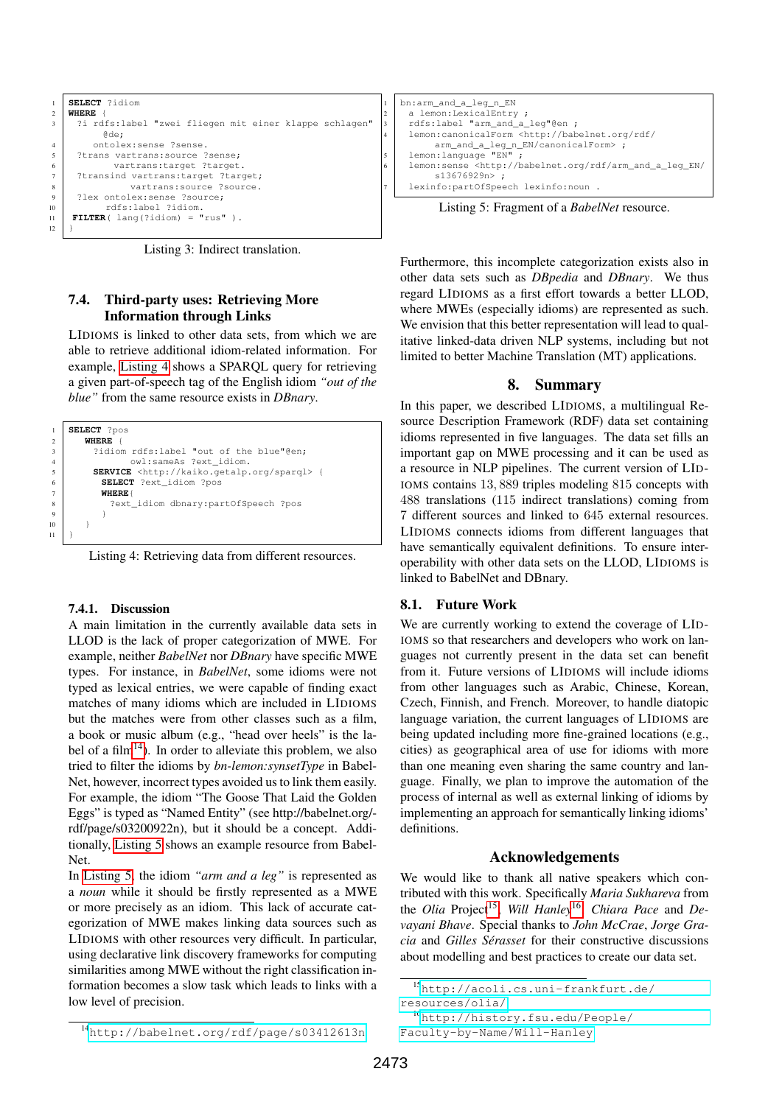<span id="page-5-2"></span>

Listing 3: Indirect translation.

### 7.4. Third-party uses: Retrieving More Information through Links

LIDIOMS is linked to other data sets, from which we are able to retrieve additional idiom-related information. For example, [Listing 4](#page-5-3) shows a SPARQL query for retrieving a given part-of-speech tag of the English idiom *"out of the blue"* from the same resource exists in *DBnary*.

<span id="page-5-3"></span>

Listing 4: Retrieving data from different resources.

#### <span id="page-5-0"></span>7.4.1. Discussion

A main limitation in the currently available data sets in LLOD is the lack of proper categorization of MWE. For example, neither *BabelNet* nor *DBnary* have specific MWE types. For instance, in *BabelNet*, some idioms were not typed as lexical entries, we were capable of finding exact matches of many idioms which are included in LIDIOMS but the matches were from other classes such as a film, a book or music album (e.g., "head over heels" is the la-bel of a film<sup>[14](#page-5-4)</sup>). In order to alleviate this problem, we also tried to filter the idioms by *bn-lemon:synsetType* in Babel-Net, however, incorrect types avoided us to link them easily. For example, the idiom "The Goose That Laid the Golden Eggs" is typed as "Named Entity" (see http://babelnet.org/ rdf/page/s03200922n), but it should be a concept. Additionally, [Listing 5](#page-5-5) shows an example resource from Babel-Net.

In [Listing 5,](#page-5-5) the idiom *"arm and a leg"* is represented as a *noun* while it should be firstly represented as a MWE or more precisely as an idiom. This lack of accurate categorization of MWE makes linking data sources such as LIDIOMS with other resources very difficult. In particular, using declarative link discovery frameworks for computing similarities among MWE without the right classification information becomes a slow task which leads to links with a low level of precision.

```
bn:arm_and_a_leg_n_EN
    a lemon:LexicalEntry ;
    3 rdfs:label "arm_and_a_leg"@en ;
    4 lemon:canonicalForm <http://babelnet.org/rdf/
s
arm_and_a_leg_n_EN/canonicalForm> ;<br>
1emon:language "EN" ;
    6 lemon:sense <http://babelnet.org/rdf/arm_and_a_leg_EN/
          s13676929n> ;
    lexinfo:partOfSpeech lexinfo:noun .
```
Listing 5: Fragment of a *BabelNet* resource.

Furthermore, this incomplete categorization exists also in other data sets such as *DBpedia* and *DBnary*. We thus regard LIDIOMS as a first effort towards a better LLOD, where MWEs (especially idioms) are represented as such. We envision that this better representation will lead to qualitative linked-data driven NLP systems, including but not limited to better Machine Translation (MT) applications.

## 8. Summary

<span id="page-5-1"></span>In this paper, we described LIDIOMS, a multilingual Resource Description Framework (RDF) data set containing idioms represented in five languages. The data set fills an important gap on MWE processing and it can be used as a resource in NLP pipelines. The current version of LID-IOMS contains 13, 889 triples modeling 815 concepts with 488 translations (115 indirect translations) coming from 7 different sources and linked to 645 external resources. LIDIOMS connects idioms from different languages that have semantically equivalent definitions. To ensure interoperability with other data sets on the LLOD, LIDIOMS is linked to BabelNet and DBnary.

#### 8.1. Future Work

We are currently working to extend the coverage of LID-IOMS so that researchers and developers who work on languages not currently present in the data set can benefit from it. Future versions of LIDIOMS will include idioms from other languages such as Arabic, Chinese, Korean, Czech, Finnish, and French. Moreover, to handle diatopic language variation, the current languages of LIDIOMS are being updated including more fine-grained locations (e.g., cities) as geographical area of use for idioms with more than one meaning even sharing the same country and language. Finally, we plan to improve the automation of the process of internal as well as external linking of idioms by implementing an approach for semantically linking idioms' definitions.

#### Acknowledgements

We would like to thank all native speakers which contributed with this work. Specifically *Maria Sukhareva* from the *Olia* Project<sup>[15](#page-5-6)</sup>, Will Hanley<sup>[16](#page-5-7)</sup>, Chiara Pace and De*vayani Bhave*. Special thanks to *John McCrae*, *Jorge Gracia* and *Gilles Serasset ´* for their constructive discussions about modelling and best practices to create our data set.

<span id="page-5-6"></span><sup>15</sup>[http://acoli.cs.uni-frankfurt.de/](http://acoli.cs.uni-frankfurt.de/resources/olia/) [resources/olia/](http://acoli.cs.uni-frankfurt.de/resources/olia/)

<span id="page-5-7"></span><sup>16</sup>[http://history.fsu.edu/People/](http://history.fsu.edu/People/Faculty-by-Name/Will-Hanley) [Faculty-by-Name/Will-Hanley](http://history.fsu.edu/People/Faculty-by-Name/Will-Hanley)

<span id="page-5-4"></span><sup>14</sup><http://babelnet.org/rdf/page/s03412613n>